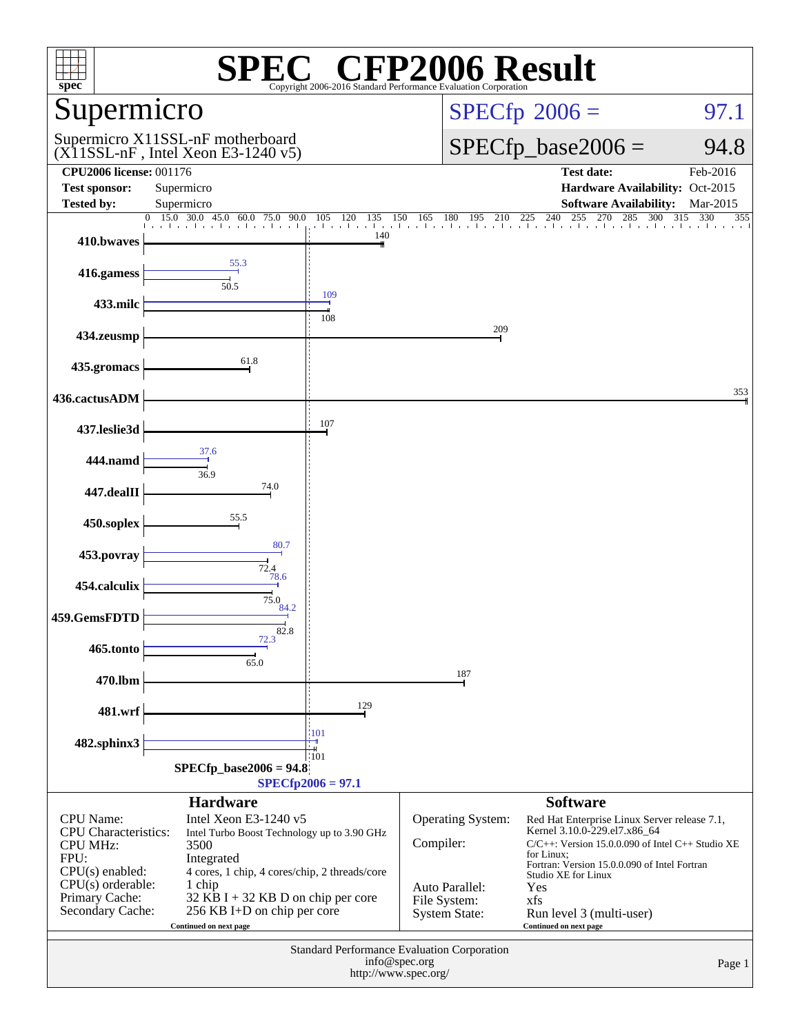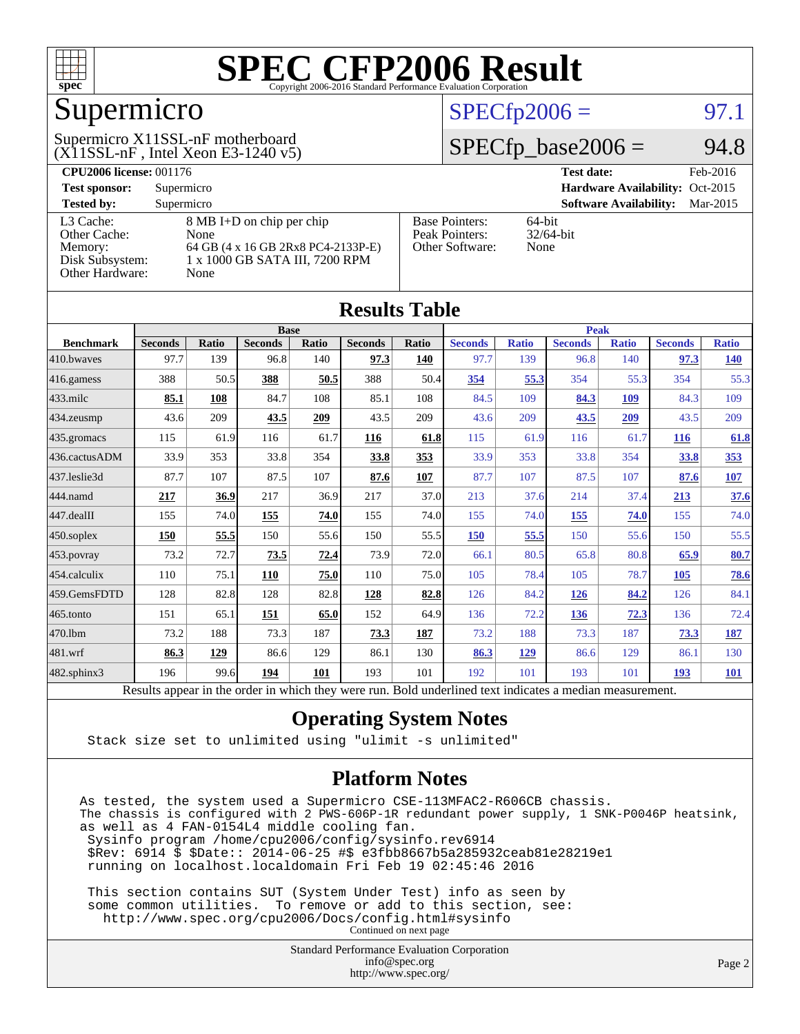

## Supermicro

#### $(X11SSL-nF$ , Intel Xeon E3-1240 v5) Supermicro X11SSL-nF motherboard

#### $SPECTp2006 = 97.1$

#### $SPECfp\_base2006 = 94.8$

| <b>CPU2006 license: 001176</b> |                                    |                       | <b>Test date:</b><br>Feb-2016             |  |  |  |
|--------------------------------|------------------------------------|-----------------------|-------------------------------------------|--|--|--|
| <b>Test sponsor:</b>           | Supermicro                         |                       | Hardware Availability: Oct-2015           |  |  |  |
| <b>Tested by:</b>              | Supermicro                         |                       | <b>Software Availability:</b><br>Mar-2015 |  |  |  |
| L3 Cache:                      | 8 MB I+D on chip per chip          | <b>Base Pointers:</b> | $64$ -bit                                 |  |  |  |
| Other Cache:                   | None                               | Peak Pointers:        | $32/64$ -bit                              |  |  |  |
| Memory:                        | 64 GB (4 x 16 GB 2Rx8 PC4-2133P-E) | Other Software:       | None                                      |  |  |  |
| Disk Subsystem:                | 1 x 1000 GB SATA III, 7200 RPM     |                       |                                           |  |  |  |
| <b>Other Hardware:</b>         | None                               |                       |                                           |  |  |  |

| <b>Results Table</b> |                                                                                                          |              |                |       |                |             |                |              |                |              |                |              |
|----------------------|----------------------------------------------------------------------------------------------------------|--------------|----------------|-------|----------------|-------------|----------------|--------------|----------------|--------------|----------------|--------------|
|                      | <b>Base</b>                                                                                              |              |                |       |                | <b>Peak</b> |                |              |                |              |                |              |
| <b>Benchmark</b>     | <b>Seconds</b>                                                                                           | <b>Ratio</b> | <b>Seconds</b> | Ratio | <b>Seconds</b> | Ratio       | <b>Seconds</b> | <b>Ratio</b> | <b>Seconds</b> | <b>Ratio</b> | <b>Seconds</b> | <b>Ratio</b> |
| 410.bwayes           | 97.7                                                                                                     | 139          | 96.8           | 140   | 97.3           | 140         | 97.7           | 139          | 96.8           | 140          | 97.3           | <u>140</u>   |
| 416.gamess           | 388                                                                                                      | 50.5         | 388            | 50.5  | 388            | 50.4        | 354            | 55.3         | 354            | 55.3         | 354            | 55.3         |
| $433$ .milc          | 85.1                                                                                                     | 108          | 84.7           | 108   | 85.1           | 108         | 84.5           | 109          | 84.3           | 109          | 84.3           | 109          |
| 434.zeusmp           | 43.6                                                                                                     | 209          | 43.5           | 209   | 43.5           | 209         | 43.6           | 209          | 43.5           | 209          | 43.5           | 209          |
| 435.gromacs          | 115                                                                                                      | 61.9         | 116            | 61.7  | 116            | 61.8        | 115            | 61.9         | 116            | 61.7         | <b>116</b>     | 61.8         |
| 436.cactusADM        | 33.9                                                                                                     | 353          | 33.8           | 354   | 33.8           | 353         | 33.9           | 353          | 33.8           | 354          | 33.8           | 353          |
| 437.leslie3d         | 87.7                                                                                                     | 107          | 87.5           | 107   | 87.6           | 107         | 87.7           | 107          | 87.5           | 107          | 87.6           | 107          |
| 444.namd             | 217                                                                                                      | 36.9         | 217            | 36.9  | 217            | 37.0        | 213            | 37.6         | 214            | 37.4         | 213            | 37.6         |
| 447.dealII           | 155                                                                                                      | 74.0         | 155            | 74.0  | 155            | 74.0        | 155            | 74.0         | 155            | 74.0         | 155            | 74.0         |
| $450$ .soplex        | 150                                                                                                      | 55.5         | 150            | 55.6  | 150            | 55.5        | 150            | 55.5         | 150            | 55.6         | 150            | 55.5         |
| 453.povray           | 73.2                                                                                                     | 72.7         | 73.5           | 72.4  | 73.9           | 72.0        | 66.1           | 80.5         | 65.8           | 80.8         | 65.9           | 80.7         |
| 454.calculix         | 110                                                                                                      | 75.1         | 110            | 75.0  | 110            | 75.0        | 105            | 78.4         | 105            | 78.7         | 105            | 78.6         |
| 459.GemsFDTD         | 128                                                                                                      | 82.8         | 128            | 82.8  | 128            | 82.8        | 126            | 84.2         | <b>126</b>     | 84.2         | 126            | 84.1         |
| 465.tonto            | 151                                                                                                      | 65.1         | 151            | 65.0  | 152            | 64.9        | 136            | 72.2         | 136            | 72.3         | 136            | 72.4         |
| 470.1bm              | 73.2                                                                                                     | 188          | 73.3           | 187   | 73.3           | 187         | 73.2           | 188          | 73.3           | 187          | 73.3           | <u>187</u>   |
| 481.wrf              | 86.3                                                                                                     | 129          | 86.6           | 129   | 86.1           | 130         | 86.3           | 129          | 86.6           | 129          | 86.1           | 130          |
| $482$ .sphinx $3$    | 196                                                                                                      | 99.6         | 194            | 101   | 193            | 101         | 192            | 101          | 193            | 101          | <b>193</b>     | <b>101</b>   |
|                      | Results appear in the order in which they were run. Bold underlined text indicates a median measurement. |              |                |       |                |             |                |              |                |              |                |              |

#### **[Operating System Notes](http://www.spec.org/auto/cpu2006/Docs/result-fields.html#OperatingSystemNotes)**

Stack size set to unlimited using "ulimit -s unlimited"

#### **[Platform Notes](http://www.spec.org/auto/cpu2006/Docs/result-fields.html#PlatformNotes)**

As tested, the system used a Supermicro CSE-113MFAC2-R606CB chassis. The chassis is configured with 2 PWS-606P-1R redundant power supply, 1 SNK-P0046P heatsink, as well as 4 FAN-0154L4 middle cooling fan. Sysinfo program /home/cpu2006/config/sysinfo.rev6914 \$Rev: 6914 \$ \$Date:: 2014-06-25 #\$ e3fbb8667b5a285932ceab81e28219e1 running on localhost.localdomain Fri Feb 19 02:45:46 2016 This section contains SUT (System Under Test) info as seen by

 some common utilities. To remove or add to this section, see: <http://www.spec.org/cpu2006/Docs/config.html#sysinfo> Continued on next page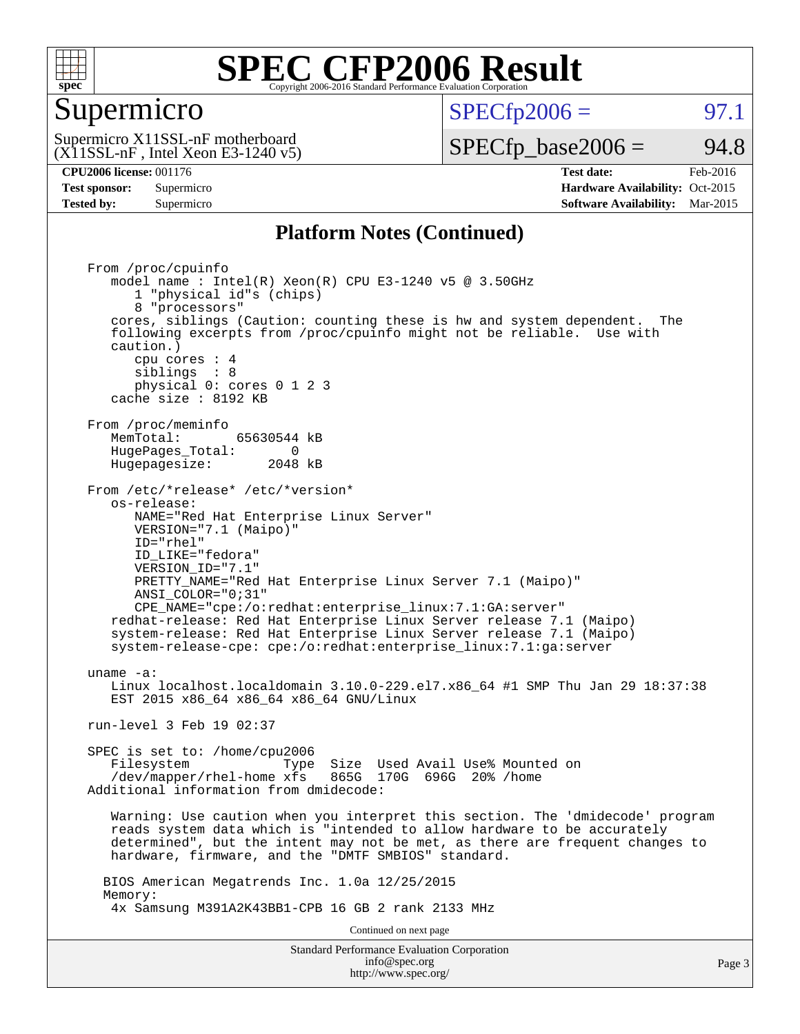

#### Supermicro

 $SPECTp2006 =$  97.1

 $(X11SSL-nF$ , Intel Xeon E3-1240 v5) Supermicro X11SSL-nF motherboard

 $SPECTp\_base2006 = 94.8$ 

**[Tested by:](http://www.spec.org/auto/cpu2006/Docs/result-fields.html#Testedby)** Supermicro **Supermicro [Software Availability:](http://www.spec.org/auto/cpu2006/Docs/result-fields.html#SoftwareAvailability)** Mar-2015

**[CPU2006 license:](http://www.spec.org/auto/cpu2006/Docs/result-fields.html#CPU2006license)** 001176 **[Test date:](http://www.spec.org/auto/cpu2006/Docs/result-fields.html#Testdate)** Feb-2016 **[Test sponsor:](http://www.spec.org/auto/cpu2006/Docs/result-fields.html#Testsponsor)** Supermicro Supermicro **[Hardware Availability:](http://www.spec.org/auto/cpu2006/Docs/result-fields.html#HardwareAvailability)** Oct-2015

#### **[Platform Notes \(Continued\)](http://www.spec.org/auto/cpu2006/Docs/result-fields.html#PlatformNotes)**

Standard Performance Evaluation Corporation [info@spec.org](mailto:info@spec.org) From /proc/cpuinfo model name : Intel(R) Xeon(R) CPU E3-1240 v5 @ 3.50GHz 1 "physical id"s (chips) 8 "processors" cores, siblings (Caution: counting these is hw and system dependent. The following excerpts from /proc/cpuinfo might not be reliable. Use with caution.) cpu cores : 4 siblings : 8 physical 0: cores 0 1 2 3 cache size : 8192 KB From /proc/meminfo<br>MemTotal: 65630544 kB HugePages\_Total: 0<br>Hugepagesize: 2048 kB Hugepagesize: From /etc/\*release\* /etc/\*version\* os-release: NAME="Red Hat Enterprise Linux Server" VERSION="7.1 (Maipo)" ID="rhel" ID\_LIKE="fedora" VERSION\_ID="7.1" PRETTY\_NAME="Red Hat Enterprise Linux Server 7.1 (Maipo)" ANSI\_COLOR="0;31" CPE\_NAME="cpe:/o:redhat:enterprise\_linux:7.1:GA:server" redhat-release: Red Hat Enterprise Linux Server release 7.1 (Maipo) system-release: Red Hat Enterprise Linux Server release 7.1 (Maipo) system-release-cpe: cpe:/o:redhat:enterprise\_linux:7.1:ga:server uname -a: Linux localhost.localdomain 3.10.0-229.el7.x86\_64 #1 SMP Thu Jan 29 18:37:38 EST 2015 x86 64 x86 64 x86 64 GNU/Linux run-level 3 Feb 19 02:37 SPEC is set to: /home/cpu2006 Filesystem Type Size Used Avail Use% Mounted on /dev/mapper/rhel-home xfs 865G 170G 696G 20% /home Additional information from dmidecode: Warning: Use caution when you interpret this section. The 'dmidecode' program reads system data which is "intended to allow hardware to be accurately determined", but the intent may not be met, as there are frequent changes to hardware, firmware, and the "DMTF SMBIOS" standard. BIOS American Megatrends Inc. 1.0a 12/25/2015 Memory: 4x Samsung M391A2K43BB1-CPB 16 GB 2 rank 2133 MHz Continued on next page

<http://www.spec.org/>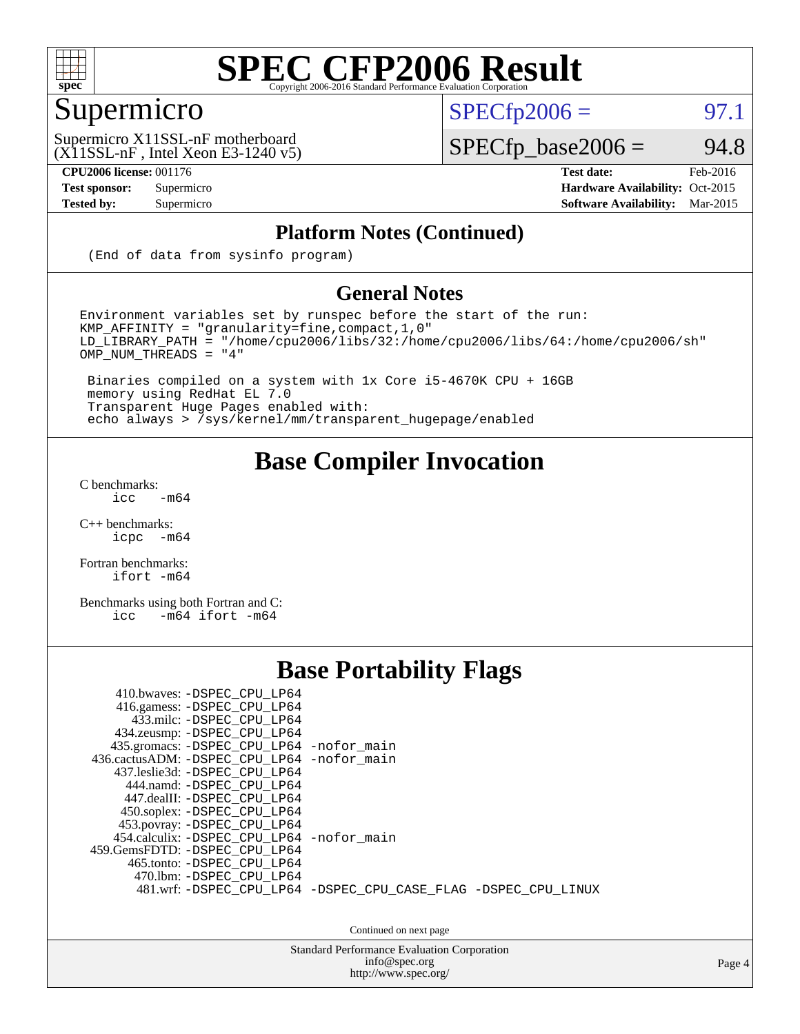

### Supermicro

 $SPECTp2006 = 97.1$ 

(X11SSL-nF , Intel Xeon E3-1240 v5) Supermicro X11SSL-nF motherboard

**[CPU2006 license:](http://www.spec.org/auto/cpu2006/Docs/result-fields.html#CPU2006license)** 001176 **[Test date:](http://www.spec.org/auto/cpu2006/Docs/result-fields.html#Testdate)** Feb-2016

 $SPECfp\_base2006 = 94.8$ 

**[Test sponsor:](http://www.spec.org/auto/cpu2006/Docs/result-fields.html#Testsponsor)** Supermicro Supermicro **[Hardware Availability:](http://www.spec.org/auto/cpu2006/Docs/result-fields.html#HardwareAvailability)** Oct-2015 **[Tested by:](http://www.spec.org/auto/cpu2006/Docs/result-fields.html#Testedby)** Supermicro **Supermicro [Software Availability:](http://www.spec.org/auto/cpu2006/Docs/result-fields.html#SoftwareAvailability)** Mar-2015

#### **[Platform Notes \(Continued\)](http://www.spec.org/auto/cpu2006/Docs/result-fields.html#PlatformNotes)**

(End of data from sysinfo program)

#### **[General Notes](http://www.spec.org/auto/cpu2006/Docs/result-fields.html#GeneralNotes)**

Environment variables set by runspec before the start of the run: KMP\_AFFINITY = "granularity=fine,compact,1,0" LD\_LIBRARY\_PATH = "/home/cpu2006/libs/32:/home/cpu2006/libs/64:/home/cpu2006/sh" OMP\_NUM\_THREADS = "4"

 Binaries compiled on a system with 1x Core i5-4670K CPU + 16GB memory using RedHat EL 7.0 Transparent Huge Pages enabled with: echo always > /sys/kernel/mm/transparent\_hugepage/enabled

#### **[Base Compiler Invocation](http://www.spec.org/auto/cpu2006/Docs/result-fields.html#BaseCompilerInvocation)**

[C benchmarks](http://www.spec.org/auto/cpu2006/Docs/result-fields.html#Cbenchmarks):  $\text{icc}$  -m64

 $C++$  benchmarks:<br>icpc  $-m$ -m64

[Fortran benchmarks](http://www.spec.org/auto/cpu2006/Docs/result-fields.html#Fortranbenchmarks): [ifort -m64](http://www.spec.org/cpu2006/results/res2016q1/cpu2006-20160308-39306.flags.html#user_FCbase_intel_ifort_64bit_ee9d0fb25645d0210d97eb0527dcc06e)

[Benchmarks using both Fortran and C](http://www.spec.org/auto/cpu2006/Docs/result-fields.html#BenchmarksusingbothFortranandC): [icc -m64](http://www.spec.org/cpu2006/results/res2016q1/cpu2006-20160308-39306.flags.html#user_CC_FCbase_intel_icc_64bit_0b7121f5ab7cfabee23d88897260401c) [ifort -m64](http://www.spec.org/cpu2006/results/res2016q1/cpu2006-20160308-39306.flags.html#user_CC_FCbase_intel_ifort_64bit_ee9d0fb25645d0210d97eb0527dcc06e)

#### **[Base Portability Flags](http://www.spec.org/auto/cpu2006/Docs/result-fields.html#BasePortabilityFlags)**

| 410.bwaves: -DSPEC CPU LP64<br>416.gamess: -DSPEC_CPU_LP64<br>433.milc: -DSPEC CPU LP64<br>434.zeusmp: -DSPEC_CPU_LP64<br>435.gromacs: -DSPEC_CPU_LP64 -nofor_main<br>436.cactusADM: -DSPEC CPU LP64 -nofor main<br>437.leslie3d: -DSPEC CPU LP64<br>444.namd: -DSPEC CPU LP64<br>447.dealII: -DSPEC CPU LP64 |                                                                |
|---------------------------------------------------------------------------------------------------------------------------------------------------------------------------------------------------------------------------------------------------------------------------------------------------------------|----------------------------------------------------------------|
| 450.soplex: -DSPEC_CPU_LP64<br>453.povray: -DSPEC_CPU_LP64<br>454.calculix: - DSPEC CPU LP64 - nofor main<br>459.GemsFDTD: -DSPEC_CPU_LP64<br>465.tonto: - DSPEC CPU LP64<br>470.1bm: - DSPEC CPU LP64                                                                                                        | 481.wrf: -DSPEC CPU_LP64 -DSPEC_CPU_CASE_FLAG -DSPEC_CPU_LINUX |

Continued on next page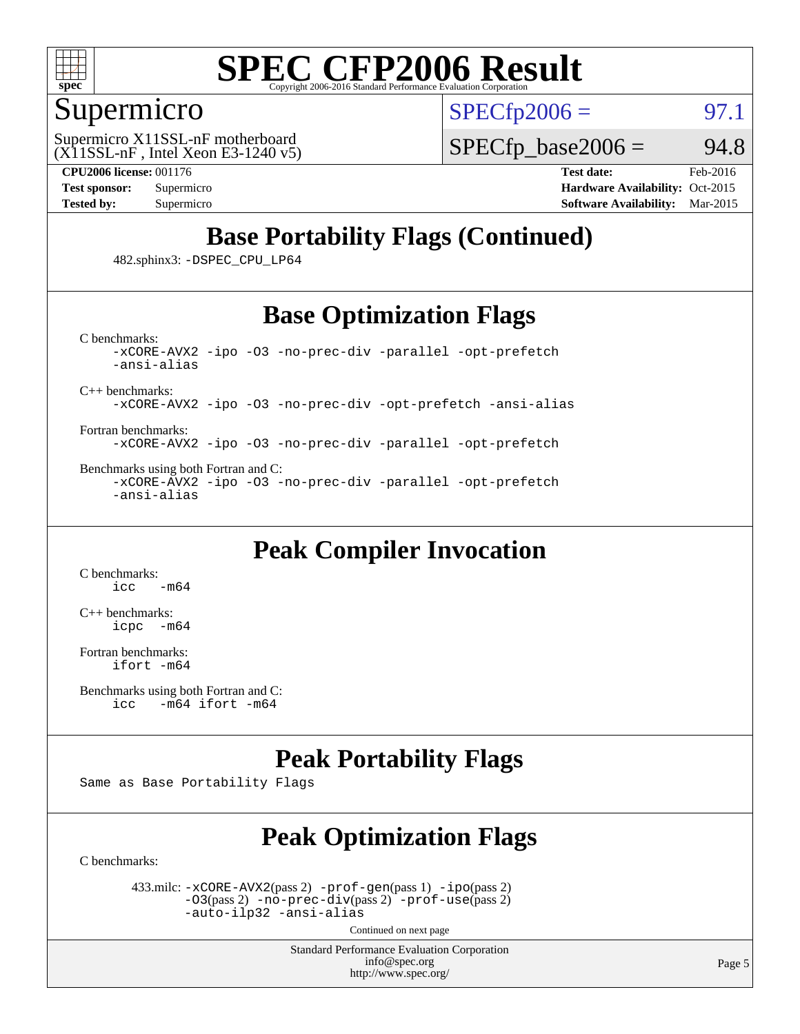

#### Supermicro

 $SPECTp2006 =$  97.1

 $(X11SSL-nF$ , Intel Xeon E3-1240 v5) Supermicro X11SSL-nF motherboard

 $SPECTp\_base2006 = 94.8$ 

**[CPU2006 license:](http://www.spec.org/auto/cpu2006/Docs/result-fields.html#CPU2006license)** 001176 **[Test date:](http://www.spec.org/auto/cpu2006/Docs/result-fields.html#Testdate)** Feb-2016 **[Test sponsor:](http://www.spec.org/auto/cpu2006/Docs/result-fields.html#Testsponsor)** Supermicro Supermicro **[Hardware Availability:](http://www.spec.org/auto/cpu2006/Docs/result-fields.html#HardwareAvailability)** Oct-2015 **[Tested by:](http://www.spec.org/auto/cpu2006/Docs/result-fields.html#Testedby)** Supermicro **Supermicro [Software Availability:](http://www.spec.org/auto/cpu2006/Docs/result-fields.html#SoftwareAvailability)** Mar-2015

### **[Base Portability Flags \(Continued\)](http://www.spec.org/auto/cpu2006/Docs/result-fields.html#BasePortabilityFlags)**

482.sphinx3: [-DSPEC\\_CPU\\_LP64](http://www.spec.org/cpu2006/results/res2016q1/cpu2006-20160308-39306.flags.html#suite_basePORTABILITY482_sphinx3_DSPEC_CPU_LP64)

#### **[Base Optimization Flags](http://www.spec.org/auto/cpu2006/Docs/result-fields.html#BaseOptimizationFlags)**

[C benchmarks](http://www.spec.org/auto/cpu2006/Docs/result-fields.html#Cbenchmarks): [-xCORE-AVX2](http://www.spec.org/cpu2006/results/res2016q1/cpu2006-20160308-39306.flags.html#user_CCbase_f-xAVX2_5f5fc0cbe2c9f62c816d3e45806c70d7) [-ipo](http://www.spec.org/cpu2006/results/res2016q1/cpu2006-20160308-39306.flags.html#user_CCbase_f-ipo) [-O3](http://www.spec.org/cpu2006/results/res2016q1/cpu2006-20160308-39306.flags.html#user_CCbase_f-O3) [-no-prec-div](http://www.spec.org/cpu2006/results/res2016q1/cpu2006-20160308-39306.flags.html#user_CCbase_f-no-prec-div) [-parallel](http://www.spec.org/cpu2006/results/res2016q1/cpu2006-20160308-39306.flags.html#user_CCbase_f-parallel) [-opt-prefetch](http://www.spec.org/cpu2006/results/res2016q1/cpu2006-20160308-39306.flags.html#user_CCbase_f-opt-prefetch) [-ansi-alias](http://www.spec.org/cpu2006/results/res2016q1/cpu2006-20160308-39306.flags.html#user_CCbase_f-ansi-alias)

[C++ benchmarks:](http://www.spec.org/auto/cpu2006/Docs/result-fields.html#CXXbenchmarks)

[-xCORE-AVX2](http://www.spec.org/cpu2006/results/res2016q1/cpu2006-20160308-39306.flags.html#user_CXXbase_f-xAVX2_5f5fc0cbe2c9f62c816d3e45806c70d7) [-ipo](http://www.spec.org/cpu2006/results/res2016q1/cpu2006-20160308-39306.flags.html#user_CXXbase_f-ipo) [-O3](http://www.spec.org/cpu2006/results/res2016q1/cpu2006-20160308-39306.flags.html#user_CXXbase_f-O3) [-no-prec-div](http://www.spec.org/cpu2006/results/res2016q1/cpu2006-20160308-39306.flags.html#user_CXXbase_f-no-prec-div) [-opt-prefetch](http://www.spec.org/cpu2006/results/res2016q1/cpu2006-20160308-39306.flags.html#user_CXXbase_f-opt-prefetch) [-ansi-alias](http://www.spec.org/cpu2006/results/res2016q1/cpu2006-20160308-39306.flags.html#user_CXXbase_f-ansi-alias)

[Fortran benchmarks](http://www.spec.org/auto/cpu2006/Docs/result-fields.html#Fortranbenchmarks): [-xCORE-AVX2](http://www.spec.org/cpu2006/results/res2016q1/cpu2006-20160308-39306.flags.html#user_FCbase_f-xAVX2_5f5fc0cbe2c9f62c816d3e45806c70d7) [-ipo](http://www.spec.org/cpu2006/results/res2016q1/cpu2006-20160308-39306.flags.html#user_FCbase_f-ipo) [-O3](http://www.spec.org/cpu2006/results/res2016q1/cpu2006-20160308-39306.flags.html#user_FCbase_f-O3) [-no-prec-div](http://www.spec.org/cpu2006/results/res2016q1/cpu2006-20160308-39306.flags.html#user_FCbase_f-no-prec-div) [-parallel](http://www.spec.org/cpu2006/results/res2016q1/cpu2006-20160308-39306.flags.html#user_FCbase_f-parallel) [-opt-prefetch](http://www.spec.org/cpu2006/results/res2016q1/cpu2006-20160308-39306.flags.html#user_FCbase_f-opt-prefetch)

[Benchmarks using both Fortran and C](http://www.spec.org/auto/cpu2006/Docs/result-fields.html#BenchmarksusingbothFortranandC): [-xCORE-AVX2](http://www.spec.org/cpu2006/results/res2016q1/cpu2006-20160308-39306.flags.html#user_CC_FCbase_f-xAVX2_5f5fc0cbe2c9f62c816d3e45806c70d7) [-ipo](http://www.spec.org/cpu2006/results/res2016q1/cpu2006-20160308-39306.flags.html#user_CC_FCbase_f-ipo) [-O3](http://www.spec.org/cpu2006/results/res2016q1/cpu2006-20160308-39306.flags.html#user_CC_FCbase_f-O3) [-no-prec-div](http://www.spec.org/cpu2006/results/res2016q1/cpu2006-20160308-39306.flags.html#user_CC_FCbase_f-no-prec-div) [-parallel](http://www.spec.org/cpu2006/results/res2016q1/cpu2006-20160308-39306.flags.html#user_CC_FCbase_f-parallel) [-opt-prefetch](http://www.spec.org/cpu2006/results/res2016q1/cpu2006-20160308-39306.flags.html#user_CC_FCbase_f-opt-prefetch) [-ansi-alias](http://www.spec.org/cpu2006/results/res2016q1/cpu2006-20160308-39306.flags.html#user_CC_FCbase_f-ansi-alias)

#### **[Peak Compiler Invocation](http://www.spec.org/auto/cpu2006/Docs/result-fields.html#PeakCompilerInvocation)**

[C benchmarks](http://www.spec.org/auto/cpu2006/Docs/result-fields.html#Cbenchmarks):  $-m64$ 

[C++ benchmarks:](http://www.spec.org/auto/cpu2006/Docs/result-fields.html#CXXbenchmarks) [icpc -m64](http://www.spec.org/cpu2006/results/res2016q1/cpu2006-20160308-39306.flags.html#user_CXXpeak_intel_icpc_64bit_bedb90c1146cab66620883ef4f41a67e)

[Fortran benchmarks](http://www.spec.org/auto/cpu2006/Docs/result-fields.html#Fortranbenchmarks): [ifort -m64](http://www.spec.org/cpu2006/results/res2016q1/cpu2006-20160308-39306.flags.html#user_FCpeak_intel_ifort_64bit_ee9d0fb25645d0210d97eb0527dcc06e)

```
Benchmarks using both Fortran and C: 
icc -m64 ifort -m64
```
#### **[Peak Portability Flags](http://www.spec.org/auto/cpu2006/Docs/result-fields.html#PeakPortabilityFlags)**

Same as Base Portability Flags

### **[Peak Optimization Flags](http://www.spec.org/auto/cpu2006/Docs/result-fields.html#PeakOptimizationFlags)**

[C benchmarks](http://www.spec.org/auto/cpu2006/Docs/result-fields.html#Cbenchmarks):

 433.milc: [-xCORE-AVX2](http://www.spec.org/cpu2006/results/res2016q1/cpu2006-20160308-39306.flags.html#user_peakPASS2_CFLAGSPASS2_LDFLAGS433_milc_f-xAVX2_5f5fc0cbe2c9f62c816d3e45806c70d7)(pass 2) [-prof-gen](http://www.spec.org/cpu2006/results/res2016q1/cpu2006-20160308-39306.flags.html#user_peakPASS1_CFLAGSPASS1_LDFLAGS433_milc_prof_gen_e43856698f6ca7b7e442dfd80e94a8fc)(pass 1) [-ipo](http://www.spec.org/cpu2006/results/res2016q1/cpu2006-20160308-39306.flags.html#user_peakPASS2_CFLAGSPASS2_LDFLAGS433_milc_f-ipo)(pass 2) [-O3](http://www.spec.org/cpu2006/results/res2016q1/cpu2006-20160308-39306.flags.html#user_peakPASS2_CFLAGSPASS2_LDFLAGS433_milc_f-O3)(pass 2) [-no-prec-div](http://www.spec.org/cpu2006/results/res2016q1/cpu2006-20160308-39306.flags.html#user_peakPASS2_CFLAGSPASS2_LDFLAGS433_milc_f-no-prec-div)(pass 2) [-prof-use](http://www.spec.org/cpu2006/results/res2016q1/cpu2006-20160308-39306.flags.html#user_peakPASS2_CFLAGSPASS2_LDFLAGS433_milc_prof_use_bccf7792157ff70d64e32fe3e1250b55)(pass 2) [-auto-ilp32](http://www.spec.org/cpu2006/results/res2016q1/cpu2006-20160308-39306.flags.html#user_peakCOPTIMIZE433_milc_f-auto-ilp32) [-ansi-alias](http://www.spec.org/cpu2006/results/res2016q1/cpu2006-20160308-39306.flags.html#user_peakCOPTIMIZE433_milc_f-ansi-alias)

Continued on next page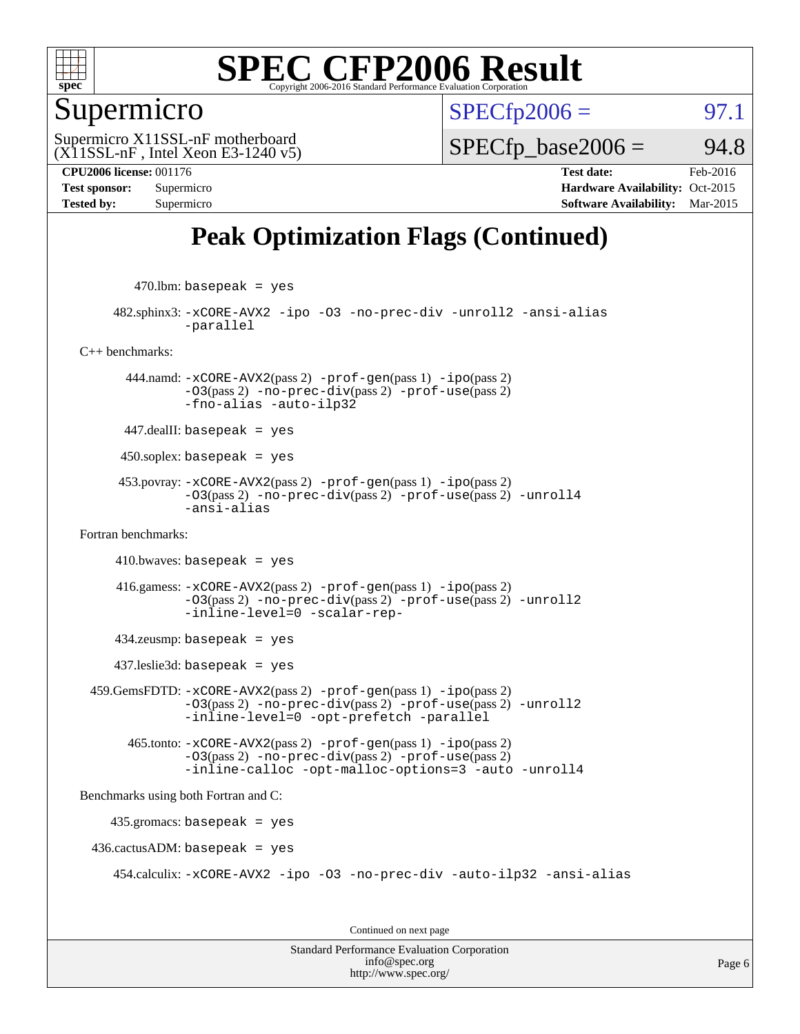

#### Supermicro

 $SPECTp2006 =$  97.1

(X11SSL-nF , Intel Xeon E3-1240 v5) Supermicro X11SSL-nF motherboard

 $SPECTp\_base2006 = 94.8$ 

**[CPU2006 license:](http://www.spec.org/auto/cpu2006/Docs/result-fields.html#CPU2006license)** 001176 **[Test date:](http://www.spec.org/auto/cpu2006/Docs/result-fields.html#Testdate)** Feb-2016 **[Test sponsor:](http://www.spec.org/auto/cpu2006/Docs/result-fields.html#Testsponsor)** Supermicro **[Hardware Availability:](http://www.spec.org/auto/cpu2006/Docs/result-fields.html#HardwareAvailability)** Oct-2015 **[Tested by:](http://www.spec.org/auto/cpu2006/Docs/result-fields.html#Testedby)** Supermicro **[Software Availability:](http://www.spec.org/auto/cpu2006/Docs/result-fields.html#SoftwareAvailability)** Mar-2015

### **[Peak Optimization Flags \(Continued\)](http://www.spec.org/auto/cpu2006/Docs/result-fields.html#PeakOptimizationFlags)**

 $470$ .lbm: basepeak = yes

 482.sphinx3: [-xCORE-AVX2](http://www.spec.org/cpu2006/results/res2016q1/cpu2006-20160308-39306.flags.html#user_peakOPTIMIZE482_sphinx3_f-xAVX2_5f5fc0cbe2c9f62c816d3e45806c70d7) [-ipo](http://www.spec.org/cpu2006/results/res2016q1/cpu2006-20160308-39306.flags.html#user_peakOPTIMIZE482_sphinx3_f-ipo) [-O3](http://www.spec.org/cpu2006/results/res2016q1/cpu2006-20160308-39306.flags.html#user_peakOPTIMIZE482_sphinx3_f-O3) [-no-prec-div](http://www.spec.org/cpu2006/results/res2016q1/cpu2006-20160308-39306.flags.html#user_peakOPTIMIZE482_sphinx3_f-no-prec-div) [-unroll2](http://www.spec.org/cpu2006/results/res2016q1/cpu2006-20160308-39306.flags.html#user_peakCOPTIMIZE482_sphinx3_f-unroll_784dae83bebfb236979b41d2422d7ec2) [-ansi-alias](http://www.spec.org/cpu2006/results/res2016q1/cpu2006-20160308-39306.flags.html#user_peakCOPTIMIZE482_sphinx3_f-ansi-alias) [-parallel](http://www.spec.org/cpu2006/results/res2016q1/cpu2006-20160308-39306.flags.html#user_peakCOPTIMIZE482_sphinx3_f-parallel)

[C++ benchmarks:](http://www.spec.org/auto/cpu2006/Docs/result-fields.html#CXXbenchmarks)

 444.namd: [-xCORE-AVX2](http://www.spec.org/cpu2006/results/res2016q1/cpu2006-20160308-39306.flags.html#user_peakPASS2_CXXFLAGSPASS2_LDFLAGS444_namd_f-xAVX2_5f5fc0cbe2c9f62c816d3e45806c70d7)(pass 2) [-prof-gen](http://www.spec.org/cpu2006/results/res2016q1/cpu2006-20160308-39306.flags.html#user_peakPASS1_CXXFLAGSPASS1_LDFLAGS444_namd_prof_gen_e43856698f6ca7b7e442dfd80e94a8fc)(pass 1) [-ipo](http://www.spec.org/cpu2006/results/res2016q1/cpu2006-20160308-39306.flags.html#user_peakPASS2_CXXFLAGSPASS2_LDFLAGS444_namd_f-ipo)(pass 2)  $-03$ (pass 2)  $-no-prec-div(pass 2)$  $-no-prec-div(pass 2)$   $-prof-use(pass 2)$  $-prof-use(pass 2)$ [-fno-alias](http://www.spec.org/cpu2006/results/res2016q1/cpu2006-20160308-39306.flags.html#user_peakCXXOPTIMIZEOPTIMIZE444_namd_f-no-alias_694e77f6c5a51e658e82ccff53a9e63a) [-auto-ilp32](http://www.spec.org/cpu2006/results/res2016q1/cpu2006-20160308-39306.flags.html#user_peakCXXOPTIMIZE444_namd_f-auto-ilp32)

447.dealII: basepeak = yes

 $450$ .soplex: basepeak = yes

 453.povray: [-xCORE-AVX2](http://www.spec.org/cpu2006/results/res2016q1/cpu2006-20160308-39306.flags.html#user_peakPASS2_CXXFLAGSPASS2_LDFLAGS453_povray_f-xAVX2_5f5fc0cbe2c9f62c816d3e45806c70d7)(pass 2) [-prof-gen](http://www.spec.org/cpu2006/results/res2016q1/cpu2006-20160308-39306.flags.html#user_peakPASS1_CXXFLAGSPASS1_LDFLAGS453_povray_prof_gen_e43856698f6ca7b7e442dfd80e94a8fc)(pass 1) [-ipo](http://www.spec.org/cpu2006/results/res2016q1/cpu2006-20160308-39306.flags.html#user_peakPASS2_CXXFLAGSPASS2_LDFLAGS453_povray_f-ipo)(pass 2) [-O3](http://www.spec.org/cpu2006/results/res2016q1/cpu2006-20160308-39306.flags.html#user_peakPASS2_CXXFLAGSPASS2_LDFLAGS453_povray_f-O3)(pass 2) [-no-prec-div](http://www.spec.org/cpu2006/results/res2016q1/cpu2006-20160308-39306.flags.html#user_peakPASS2_CXXFLAGSPASS2_LDFLAGS453_povray_f-no-prec-div)(pass 2) [-prof-use](http://www.spec.org/cpu2006/results/res2016q1/cpu2006-20160308-39306.flags.html#user_peakPASS2_CXXFLAGSPASS2_LDFLAGS453_povray_prof_use_bccf7792157ff70d64e32fe3e1250b55)(pass 2) [-unroll4](http://www.spec.org/cpu2006/results/res2016q1/cpu2006-20160308-39306.flags.html#user_peakCXXOPTIMIZE453_povray_f-unroll_4e5e4ed65b7fd20bdcd365bec371b81f) [-ansi-alias](http://www.spec.org/cpu2006/results/res2016q1/cpu2006-20160308-39306.flags.html#user_peakCXXOPTIMIZE453_povray_f-ansi-alias)

[Fortran benchmarks](http://www.spec.org/auto/cpu2006/Docs/result-fields.html#Fortranbenchmarks):

 $410.bwaves: basepeak = yes$ 

 416.gamess: [-xCORE-AVX2](http://www.spec.org/cpu2006/results/res2016q1/cpu2006-20160308-39306.flags.html#user_peakPASS2_FFLAGSPASS2_LDFLAGS416_gamess_f-xAVX2_5f5fc0cbe2c9f62c816d3e45806c70d7)(pass 2) [-prof-gen](http://www.spec.org/cpu2006/results/res2016q1/cpu2006-20160308-39306.flags.html#user_peakPASS1_FFLAGSPASS1_LDFLAGS416_gamess_prof_gen_e43856698f6ca7b7e442dfd80e94a8fc)(pass 1) [-ipo](http://www.spec.org/cpu2006/results/res2016q1/cpu2006-20160308-39306.flags.html#user_peakPASS2_FFLAGSPASS2_LDFLAGS416_gamess_f-ipo)(pass 2) [-O3](http://www.spec.org/cpu2006/results/res2016q1/cpu2006-20160308-39306.flags.html#user_peakPASS2_FFLAGSPASS2_LDFLAGS416_gamess_f-O3)(pass 2) [-no-prec-div](http://www.spec.org/cpu2006/results/res2016q1/cpu2006-20160308-39306.flags.html#user_peakPASS2_FFLAGSPASS2_LDFLAGS416_gamess_f-no-prec-div)(pass 2) [-prof-use](http://www.spec.org/cpu2006/results/res2016q1/cpu2006-20160308-39306.flags.html#user_peakPASS2_FFLAGSPASS2_LDFLAGS416_gamess_prof_use_bccf7792157ff70d64e32fe3e1250b55)(pass 2) [-unroll2](http://www.spec.org/cpu2006/results/res2016q1/cpu2006-20160308-39306.flags.html#user_peakOPTIMIZE416_gamess_f-unroll_784dae83bebfb236979b41d2422d7ec2) [-inline-level=0](http://www.spec.org/cpu2006/results/res2016q1/cpu2006-20160308-39306.flags.html#user_peakOPTIMIZE416_gamess_f-inline-level_318d07a09274ad25e8d15dbfaa68ba50) [-scalar-rep-](http://www.spec.org/cpu2006/results/res2016q1/cpu2006-20160308-39306.flags.html#user_peakOPTIMIZE416_gamess_f-disablescalarrep_abbcad04450fb118e4809c81d83c8a1d)

434.zeusmp: basepeak = yes

437.leslie3d: basepeak = yes

 459.GemsFDTD: [-xCORE-AVX2](http://www.spec.org/cpu2006/results/res2016q1/cpu2006-20160308-39306.flags.html#user_peakPASS2_FFLAGSPASS2_LDFLAGS459_GemsFDTD_f-xAVX2_5f5fc0cbe2c9f62c816d3e45806c70d7)(pass 2) [-prof-gen](http://www.spec.org/cpu2006/results/res2016q1/cpu2006-20160308-39306.flags.html#user_peakPASS1_FFLAGSPASS1_LDFLAGS459_GemsFDTD_prof_gen_e43856698f6ca7b7e442dfd80e94a8fc)(pass 1) [-ipo](http://www.spec.org/cpu2006/results/res2016q1/cpu2006-20160308-39306.flags.html#user_peakPASS2_FFLAGSPASS2_LDFLAGS459_GemsFDTD_f-ipo)(pass 2) [-O3](http://www.spec.org/cpu2006/results/res2016q1/cpu2006-20160308-39306.flags.html#user_peakPASS2_FFLAGSPASS2_LDFLAGS459_GemsFDTD_f-O3)(pass 2) [-no-prec-div](http://www.spec.org/cpu2006/results/res2016q1/cpu2006-20160308-39306.flags.html#user_peakPASS2_FFLAGSPASS2_LDFLAGS459_GemsFDTD_f-no-prec-div)(pass 2) [-prof-use](http://www.spec.org/cpu2006/results/res2016q1/cpu2006-20160308-39306.flags.html#user_peakPASS2_FFLAGSPASS2_LDFLAGS459_GemsFDTD_prof_use_bccf7792157ff70d64e32fe3e1250b55)(pass 2) [-unroll2](http://www.spec.org/cpu2006/results/res2016q1/cpu2006-20160308-39306.flags.html#user_peakOPTIMIZE459_GemsFDTD_f-unroll_784dae83bebfb236979b41d2422d7ec2) [-inline-level=0](http://www.spec.org/cpu2006/results/res2016q1/cpu2006-20160308-39306.flags.html#user_peakOPTIMIZE459_GemsFDTD_f-inline-level_318d07a09274ad25e8d15dbfaa68ba50) [-opt-prefetch](http://www.spec.org/cpu2006/results/res2016q1/cpu2006-20160308-39306.flags.html#user_peakOPTIMIZE459_GemsFDTD_f-opt-prefetch) [-parallel](http://www.spec.org/cpu2006/results/res2016q1/cpu2006-20160308-39306.flags.html#user_peakOPTIMIZE459_GemsFDTD_f-parallel)

 465.tonto: [-xCORE-AVX2](http://www.spec.org/cpu2006/results/res2016q1/cpu2006-20160308-39306.flags.html#user_peakPASS2_FFLAGSPASS2_LDFLAGS465_tonto_f-xAVX2_5f5fc0cbe2c9f62c816d3e45806c70d7)(pass 2) [-prof-gen](http://www.spec.org/cpu2006/results/res2016q1/cpu2006-20160308-39306.flags.html#user_peakPASS1_FFLAGSPASS1_LDFLAGS465_tonto_prof_gen_e43856698f6ca7b7e442dfd80e94a8fc)(pass 1) [-ipo](http://www.spec.org/cpu2006/results/res2016q1/cpu2006-20160308-39306.flags.html#user_peakPASS2_FFLAGSPASS2_LDFLAGS465_tonto_f-ipo)(pass 2) [-O3](http://www.spec.org/cpu2006/results/res2016q1/cpu2006-20160308-39306.flags.html#user_peakPASS2_FFLAGSPASS2_LDFLAGS465_tonto_f-O3)(pass 2) [-no-prec-div](http://www.spec.org/cpu2006/results/res2016q1/cpu2006-20160308-39306.flags.html#user_peakPASS2_FFLAGSPASS2_LDFLAGS465_tonto_f-no-prec-div)(pass 2) [-prof-use](http://www.spec.org/cpu2006/results/res2016q1/cpu2006-20160308-39306.flags.html#user_peakPASS2_FFLAGSPASS2_LDFLAGS465_tonto_prof_use_bccf7792157ff70d64e32fe3e1250b55)(pass 2) [-inline-calloc](http://www.spec.org/cpu2006/results/res2016q1/cpu2006-20160308-39306.flags.html#user_peakOPTIMIZE465_tonto_f-inline-calloc) [-opt-malloc-options=3](http://www.spec.org/cpu2006/results/res2016q1/cpu2006-20160308-39306.flags.html#user_peakOPTIMIZE465_tonto_f-opt-malloc-options_13ab9b803cf986b4ee62f0a5998c2238) [-auto](http://www.spec.org/cpu2006/results/res2016q1/cpu2006-20160308-39306.flags.html#user_peakOPTIMIZE465_tonto_f-auto) [-unroll4](http://www.spec.org/cpu2006/results/res2016q1/cpu2006-20160308-39306.flags.html#user_peakOPTIMIZE465_tonto_f-unroll_4e5e4ed65b7fd20bdcd365bec371b81f)

[Benchmarks using both Fortran and C](http://www.spec.org/auto/cpu2006/Docs/result-fields.html#BenchmarksusingbothFortranandC):

435.gromacs: basepeak = yes

 $436.cactusADM: basepeak = yes$ 

454.calculix: [-xCORE-AVX2](http://www.spec.org/cpu2006/results/res2016q1/cpu2006-20160308-39306.flags.html#user_peakOPTIMIZE454_calculix_f-xAVX2_5f5fc0cbe2c9f62c816d3e45806c70d7) [-ipo](http://www.spec.org/cpu2006/results/res2016q1/cpu2006-20160308-39306.flags.html#user_peakOPTIMIZE454_calculix_f-ipo) [-O3](http://www.spec.org/cpu2006/results/res2016q1/cpu2006-20160308-39306.flags.html#user_peakOPTIMIZE454_calculix_f-O3) [-no-prec-div](http://www.spec.org/cpu2006/results/res2016q1/cpu2006-20160308-39306.flags.html#user_peakOPTIMIZE454_calculix_f-no-prec-div) [-auto-ilp32](http://www.spec.org/cpu2006/results/res2016q1/cpu2006-20160308-39306.flags.html#user_peakCOPTIMIZE454_calculix_f-auto-ilp32) [-ansi-alias](http://www.spec.org/cpu2006/results/res2016q1/cpu2006-20160308-39306.flags.html#user_peakCOPTIMIZE454_calculix_f-ansi-alias)

Continued on next page